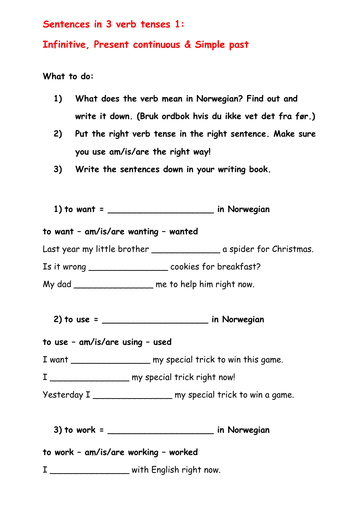## **Sentences in 3 verb tenses 1:**

## **Infinitive, Present continuous & Simple past**

**What to do:**

- **1) What does the verb mean in Norwegian? Find out and write it down. (Bruk ordbok hvis du ikke vet det fra før.)**
- **2) Put the right verb tense in the right sentence. Make sure you use am/is/are the right way!**
- **3) Write the sentences down in your writing book.**
- **1) to want = \_\_\_\_\_\_\_\_\_\_\_\_\_\_\_\_\_\_\_\_ in Norwegian**

## **to want – am/is/are wanting – wanted**

Last year my little brother \_\_\_\_\_\_\_\_\_\_\_\_\_\_\_\_\_\_\_\_\_\_\_\_\_\_ a spider for Christmas.

Is it wrong cookies for breakfast?

My dad **Example 20** me to help him right now.

**2) to use = \_\_\_\_\_\_\_\_\_\_\_\_\_\_\_\_\_\_\_\_ in Norwegian**

## **to use – am/is/are using – used**

- I want \_\_\_\_\_\_\_\_\_\_\_\_\_\_\_\_\_\_\_\_\_ my special trick to win this game.
- I \_\_\_\_\_\_\_\_\_\_\_\_\_\_\_\_\_\_\_\_\_ my special trick right now!

Yesterday I \_\_\_\_\_\_\_\_\_\_\_\_\_\_\_\_\_\_\_ my special trick to win a game.

**3) to work = \_\_\_\_\_\_\_\_\_\_\_\_\_\_\_\_\_\_\_\_ in Norwegian**

**to work – am/is/are working – worked**

I \_\_\_\_\_\_\_\_\_\_\_\_\_\_\_ with English right now.